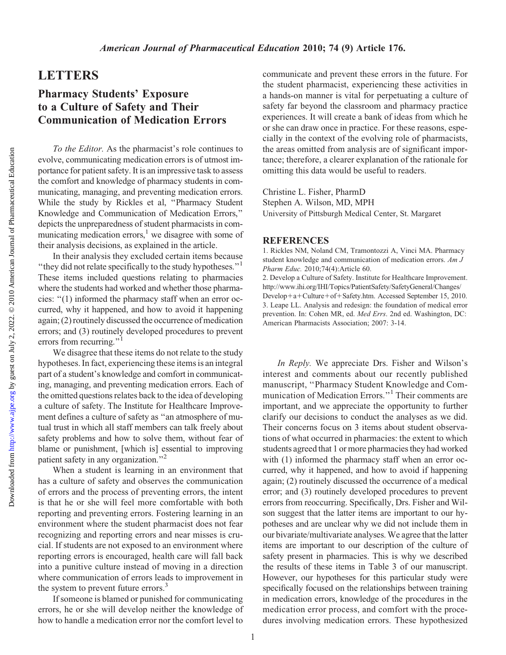### **LETTERS**

## Pharmacy Students' Exposure to a Culture of Safety and Their Communication of Medication Errors

To the Editor. As the pharmacist's role continues to evolve, communicating medication errors is of utmost importance for patient safety. It is an impressive task to assess the comfort and knowledge of pharmacy students in communicating, managing, and preventing medication errors. While the study by Rickles et al, ''Pharmacy Student Knowledge and Communication of Medication Errors,'' depicts the unpreparedness of student pharmacists in communicating medication errors, $<sup>1</sup>$  we disagree with some of</sup> their analysis decisions, as explained in the article.

In their analysis they excluded certain items because ''they did not relate specifically to the study hypotheses.''1 These items included questions relating to pharmacies where the students had worked and whether those pharmacies: ''(1) informed the pharmacy staff when an error occurred, why it happened, and how to avoid it happening again; (2) routinely discussed the occurrence of medication errors; and (3) routinely developed procedures to prevent errors from recurring."<sup>1</sup>

We disagree that these items do not relate to the study hypotheses. In fact, experiencing these items is an integral part of a student's knowledge and comfort in communicating, managing, and preventing medication errors. Each of the omitted questions relates back to the idea of developing a culture of safety. The Institute for Healthcare Improvement defines a culture of safety as ''an atmosphere of mutual trust in which all staff members can talk freely about safety problems and how to solve them, without fear of blame or punishment, [which is] essential to improving patient safety in any organization."<sup>2</sup>

When a student is learning in an environment that has a culture of safety and observes the communication of errors and the process of preventing errors, the intent is that he or she will feel more comfortable with both reporting and preventing errors. Fostering learning in an environment where the student pharmacist does not fear recognizing and reporting errors and near misses is crucial. If students are not exposed to an environment where reporting errors is encouraged, health care will fall back into a punitive culture instead of moving in a direction where communication of errors leads to improvement in the system to prevent future errors.<sup>3</sup>

If someone is blamed or punished for communicating errors, he or she will develop neither the knowledge of how to handle a medication error nor the comfort level to

communicate and prevent these errors in the future. For the student pharmacist, experiencing these activities in a hands-on manner is vital for perpetuating a culture of safety far beyond the classroom and pharmacy practice experiences. It will create a bank of ideas from which he or she can draw once in practice. For these reasons, especially in the context of the evolving role of pharmacists, the areas omitted from analysis are of significant importance; therefore, a clearer explanation of the rationale for omitting this data would be useful to readers.

Christine L. Fisher, PharmD Stephen A. Wilson, MD, MPH University of Pittsburgh Medical Center, St. Margaret

#### **REFERENCES**

1. Rickles NM, Noland CM, Tramontozzi A, Vinci MA. Pharmacy student knowledge and communication of medication errors. Am J Pharm Educ. 2010;74(4):Article 60.

2. Develop a Culture of Safety. Institute for Healthcare Improvement. http://www.ihi.org/IHI/Topics/PatientSafety/SafetyGeneral/Changes/ Develop+a+Culture+of+Safety.htm. Accessed September 15, 2010. 3. Leape LL. Analysis and redesign: the foundation of medical error prevention. In: Cohen MR, ed. Med Errs. 2nd ed. Washington, DC: American Pharmacists Association; 2007: 3-14.

In Reply. We appreciate Drs. Fisher and Wilson's interest and comments about our recently published manuscript, ''Pharmacy Student Knowledge and Communication of Medication Errors."<sup>1</sup> Their comments are important, and we appreciate the opportunity to further clarify our decisions to conduct the analyses as we did. Their concerns focus on 3 items about student observations of what occurred in pharmacies: the extent to which students agreed that 1 or more pharmacies they had worked with (1) informed the pharmacy staff when an error occurred, why it happened, and how to avoid if happening again; (2) routinely discussed the occurrence of a medical error; and (3) routinely developed procedures to prevent errors from reoccurring. Specifically, Drs. Fisher and Wilson suggest that the latter items are important to our hypotheses and are unclear why we did not include them in our bivariate/multivariate analyses. We agree that the latter items are important to our description of the culture of safety present in pharmacies. This is why we described the results of these items in Table 3 of our manuscript. However, our hypotheses for this particular study were specifically focused on the relationships between training in medication errors, knowledge of the procedures in the medication error process, and comfort with the procedures involving medication errors. These hypothesized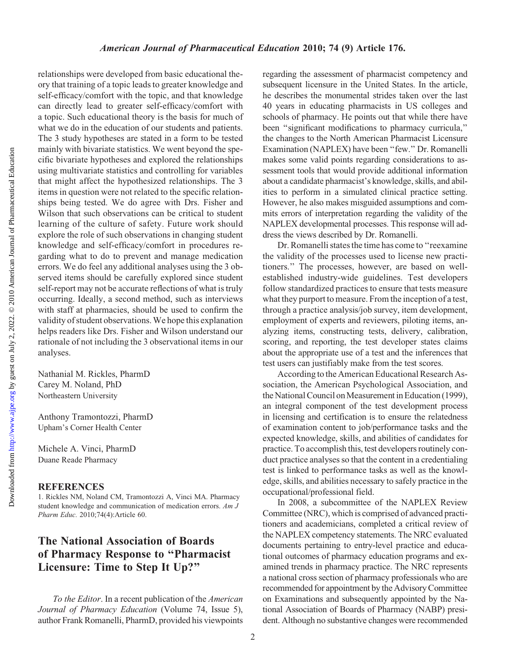relationships were developed from basic educational theory that training of a topic leads to greater knowledge and self-efficacy/comfort with the topic, and that knowledge can directly lead to greater self-efficacy/comfort with a topic. Such educational theory is the basis for much of what we do in the education of our students and patients. The 3 study hypotheses are stated in a form to be tested mainly with bivariate statistics. We went beyond the specific bivariate hypotheses and explored the relationships using multivariate statistics and controlling for variables that might affect the hypothesized relationships. The 3 items in question were not related to the specific relationships being tested. We do agree with Drs. Fisher and Wilson that such observations can be critical to student learning of the culture of safety. Future work should explore the role of such observations in changing student knowledge and self-efficacy/comfort in procedures regarding what to do to prevent and manage medication errors. We do feel any additional analyses using the 3 observed items should be carefully explored since student self-report may not be accurate reflections of what is truly occurring. Ideally, a second method, such as interviews with staff at pharmacies, should be used to confirm the validity of student observations. We hope this explanation helps readers like Drs. Fisher and Wilson understand our rationale of not including the 3 observational items in our analyses.

Nathanial M. Rickles, PharmD Carey M. Noland, PhD Northeastern University

Anthony Tramontozzi, PharmD Upham's Corner Health Center

Michele A. Vinci, PharmD Duane Reade Pharmacy

### **REFERENCES**

Downloaded from

1. Rickles NM, Noland CM, Tramontozzi A, Vinci MA. Pharmacy student knowledge and communication of medication errors. Am J Pharm Educ. 2010;74(4):Article 60.

# The National Association of Boards of Pharmacy Response to ''Pharmacist Licensure: Time to Step It Up?''

To the Editor. In a recent publication of the American Journal of Pharmacy Education (Volume 74, Issue 5), author Frank Romanelli, PharmD, provided his viewpoints regarding the assessment of pharmacist competency and subsequent licensure in the United States. In the article, he describes the monumental strides taken over the last 40 years in educating pharmacists in US colleges and schools of pharmacy. He points out that while there have been ''significant modifications to pharmacy curricula,'' the changes to the North American Pharmacist Licensure Examination (NAPLEX) have been ''few.'' Dr. Romanelli makes some valid points regarding considerations to assessment tools that would provide additional information about a candidate pharmacist's knowledge, skills, and abilities to perform in a simulated clinical practice setting. However, he also makes misguided assumptions and commits errors of interpretation regarding the validity of the NAPLEX developmental processes. This response will address the views described by Dr. Romanelli.

Dr. Romanelli states the time has come to ''reexamine the validity of the processes used to license new practitioners.'' The processes, however, are based on wellestablished industry-wide guidelines. Test developers follow standardized practices to ensure that tests measure what they purport to measure. From the inception of a test, through a practice analysis/job survey, item development, employment of experts and reviewers, piloting items, analyzing items, constructing tests, delivery, calibration, scoring, and reporting, the test developer states claims about the appropriate use of a test and the inferences that test users can justifiably make from the test scores.

According to the American Educational Research Association, the American Psychological Association, and the National Council on Measurement in Education (1999), an integral component of the test development process in licensing and certification is to ensure the relatedness of examination content to job/performance tasks and the expected knowledge, skills, and abilities of candidates for practice. To accomplish this, test developers routinely conduct practice analyses so that the content in a credentialing test is linked to performance tasks as well as the knowledge, skills, and abilities necessary to safely practice in the occupational/professional field.

In 2008, a subcommittee of the NAPLEX Review Committee (NRC), which is comprised of advanced practitioners and academicians, completed a critical review of the NAPLEX competency statements. The NRC evaluated documents pertaining to entry-level practice and educational outcomes of pharmacy education programs and examined trends in pharmacy practice. The NRC represents a national cross section of pharmacy professionals who are recommended for appointment by the Advisory Committee on Examinations and subsequently appointed by the National Association of Boards of Pharmacy (NABP) president. Although no substantive changes were recommended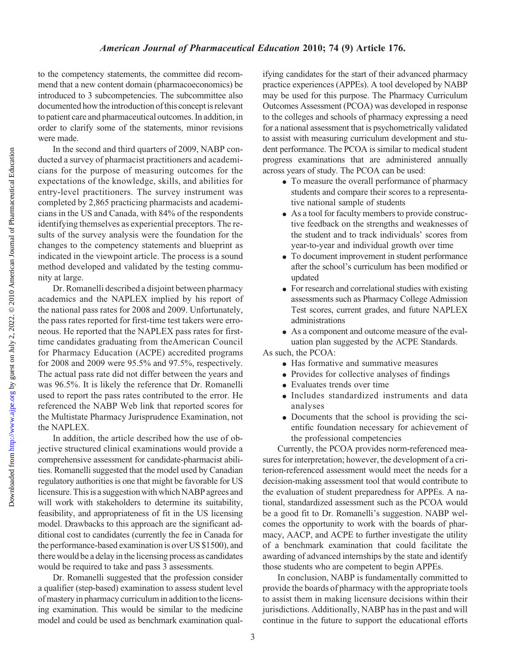#### American Journal of Pharmaceutical Education 2010; 74 (9) Article 176.

to the competency statements, the committee did recommend that a new content domain (pharmacoeconomics) be introduced to 3 subcompetencies. The subcommittee also documented how the introduction of this concept is relevant to patient care and pharmaceutical outcomes. In addition, in order to clarify some of the statements, minor revisions were made.

In the second and third quarters of 2009, NABP conducted a survey of pharmacist practitioners and academicians for the purpose of measuring outcomes for the expectations of the knowledge, skills, and abilities for entry-level practitioners. The survey instrument was completed by 2,865 practicing pharmacists and academicians in the US and Canada, with 84% of the respondents identifying themselves as experiential preceptors. The results of the survey analysis were the foundation for the changes to the competency statements and blueprint as indicated in the viewpoint article. The process is a sound method developed and validated by the testing community at large.

Dr. Romanelli described a disjoint between pharmacy academics and the NAPLEX implied by his report of the national pass rates for 2008 and 2009. Unfortunately, the pass rates reported for first-time test takers were erroneous. He reported that the NAPLEX pass rates for firsttime candidates graduating from theAmerican Council for Pharmacy Education (ACPE) accredited programs for 2008 and 2009 were 95.5% and 97.5%, respectively. The actual pass rate did not differ between the years and was 96.5%. It is likely the reference that Dr. Romanelli used to report the pass rates contributed to the error. He referenced the NABP Web link that reported scores for the Multistate Pharmacy Jurisprudence Examination, not the NAPLEX.

In addition, the article described how the use of objective structured clinical examinations would provide a comprehensive assessment for candidate-pharmacist abilities. Romanelli suggested that the model used by Canadian regulatory authorities is one that might be favorable for US licensure. This is a suggestion with which NABP agrees and will work with stakeholders to determine its suitability, feasibility, and appropriateness of fit in the US licensing model. Drawbacks to this approach are the significant additional cost to candidates (currently the fee in Canada for the performance-based examination is over US \$1500), and there would be a delay in the licensing process as candidates would be required to take and pass 3 assessments.

Dr. Romanelli suggested that the profession consider a qualifier (step-based) examination to assess student level of mastery in pharmacy curriculum in addition to the licensing examination. This would be similar to the medicine model and could be used as benchmark examination qual-

ifying candidates for the start of their advanced pharmacy practice experiences (APPEs). A tool developed by NABP may be used for this purpose. The Pharmacy Curriculum Outcomes Assessment (PCOA) was developed in response to the colleges and schools of pharmacy expressing a need for a national assessment that is psychometrically validated to assist with measuring curriculum development and student performance. The PCOA is similar to medical student progress examinations that are administered annually across years of study. The PCOA can be used:

- To measure the overall performance of pharmacy students and compare their scores to a representative national sample of students
- As a tool for faculty members to provide constructive feedback on the strengths and weaknesses of the student and to track individuals' scores from year-to-year and individual growth over time
- To document improvement in student performance after the school's curriculum has been modified or updated
- For research and correlational studies with existing assessments such as Pharmacy College Admission Test scores, current grades, and future NAPLEX administrations
- As a component and outcome measure of the evaluation plan suggested by the ACPE Standards.

As such, the PCOA:

- Has formative and summative measures
- Provides for collective analyses of findings
- Evaluates trends over time
- <sup>d</sup> Includes standardized instruments and data analyses
- Documents that the school is providing the scientific foundation necessary for achievement of the professional competencies

Currently, the PCOA provides norm-referenced measures for interpretation; however, the development of a criterion-referenced assessment would meet the needs for a decision-making assessment tool that would contribute to the evaluation of student preparedness for APPEs. A national, standardized assessment such as the PCOA would be a good fit to Dr. Romanelli's suggestion. NABP welcomes the opportunity to work with the boards of pharmacy, AACP, and ACPE to further investigate the utility of a benchmark examination that could facilitate the awarding of advanced internships by the state and identify those students who are competent to begin APPEs.

In conclusion, NABP is fundamentally committed to provide the boards of pharmacy with the appropriate tools to assist them in making licensure decisions within their jurisdictions. Additionally, NABP has in the past and will continue in the future to support the educational efforts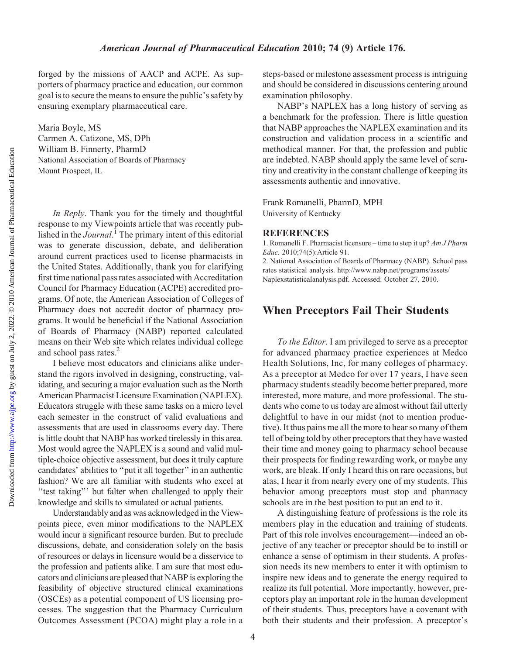forged by the missions of AACP and ACPE. As supporters of pharmacy practice and education, our common goal is to secure the means to ensure the public's safety by ensuring exemplary pharmaceutical care.

Maria Boyle, MS Carmen A. Catizone, MS, DPh William B. Finnerty, PharmD National Association of Boards of Pharmacy Mount Prospect, IL

In Reply. Thank you for the timely and thoughtful response to my Viewpoints article that was recently published in the Journal.<sup>1</sup> The primary intent of this editorial was to generate discussion, debate, and deliberation around current practices used to license pharmacists in the United States. Additionally, thank you for clarifying first time national pass rates associated with Accreditation Council for Pharmacy Education (ACPE) accredited programs. Of note, the American Association of Colleges of Pharmacy does not accredit doctor of pharmacy programs. It would be beneficial if the National Association of Boards of Pharmacy (NABP) reported calculated means on their Web site which relates individual college and school pass rates.<sup>2</sup>

I believe most educators and clinicians alike understand the rigors involved in designing, constructing, validating, and securing a major evaluation such as the North American Pharmacist Licensure Examination (NAPLEX). Educators struggle with these same tasks on a micro level each semester in the construct of valid evaluations and assessments that are used in classrooms every day. There is little doubt that NABP has worked tirelessly in this area. Most would agree the NAPLEX is a sound and valid multiple-choice objective assessment, but does it truly capture candidates' abilities to ''put it all together'' in an authentic fashion? We are all familiar with students who excel at "test taking"' but falter when challenged to apply their knowledge and skills to simulated or actual patients.

Understandably and as was acknowledged in the Viewpoints piece, even minor modifications to the NAPLEX would incur a significant resource burden. But to preclude discussions, debate, and consideration solely on the basis of resources or delays in licensure would be a disservice to the profession and patients alike. I am sure that most educators and clinicians are pleased that NABP is exploring the feasibility of objective structured clinical examinations (OSCEs) as a potential component of US licensing processes. The suggestion that the Pharmacy Curriculum Outcomes Assessment (PCOA) might play a role in a

steps-based or milestone assessment process is intriguing and should be considered in discussions centering around examination philosophy.

NABP's NAPLEX has a long history of serving as a benchmark for the profession. There is little question that NABP approaches the NAPLEX examination and its construction and validation process in a scientific and methodical manner. For that, the profession and public are indebted. NABP should apply the same level of scrutiny and creativity in the constant challenge of keeping its assessments authentic and innovative.

Frank Romanelli, PharmD, MPH University of Kentucky

#### **REFERENCES**

1. Romanelli F. Pharmacist licensure – time to step it up? Am J Pharm Educ. 2010;74(5):Article 91. 2. National Association of Boards of Pharmacy (NABP). School pass

rates statistical analysis. http://www.nabp.net/programs/assets/ Naplexstatisticalanalysis.pdf. Accessed: October 27, 2010.

### When Preceptors Fail Their Students

To the Editor. I am privileged to serve as a preceptor for advanced pharmacy practice experiences at Medco Health Solutions, Inc, for many colleges of pharmacy. As a preceptor at Medco for over 17 years, I have seen pharmacy students steadily become better prepared, more interested, more mature, and more professional. The students who come to us today are almost without fail utterly delightful to have in our midst (not to mention productive). It thus pains me all the more to hear so many of them tell of being told by other preceptors that they have wasted their time and money going to pharmacy school because their prospects for finding rewarding work, or maybe any work, are bleak. If only I heard this on rare occasions, but alas, I hear it from nearly every one of my students. This behavior among preceptors must stop and pharmacy schools are in the best position to put an end to it.

A distinguishing feature of professions is the role its members play in the education and training of students. Part of this role involves encouragement—indeed an objective of any teacher or preceptor should be to instill or enhance a sense of optimism in their students. A profession needs its new members to enter it with optimism to inspire new ideas and to generate the energy required to realize its full potential. More importantly, however, preceptors play an important role in the human development of their students. Thus, preceptors have a covenant with both their students and their profession. A preceptor's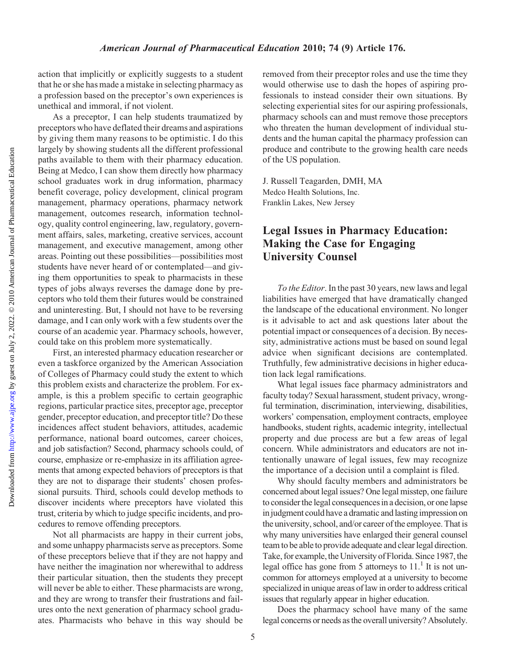action that implicitly or explicitly suggests to a student that he or she has made a mistake in selecting pharmacy as a profession based on the preceptor's own experiences is unethical and immoral, if not violent.

As a preceptor, I can help students traumatized by preceptors who have deflated their dreams and aspirations by giving them many reasons to be optimistic. I do this largely by showing students all the different professional paths available to them with their pharmacy education. Being at Medco, I can show them directly how pharmacy school graduates work in drug information, pharmacy benefit coverage, policy development, clinical program management, pharmacy operations, pharmacy network management, outcomes research, information technology, quality control engineering, law, regulatory, government affairs, sales, marketing, creative services, account management, and executive management, among other areas. Pointing out these possibilities—possibilities most students have never heard of or contemplated—and giving them opportunities to speak to pharmacists in these types of jobs always reverses the damage done by preceptors who told them their futures would be constrained and uninteresting. But, I should not have to be reversing damage, and I can only work with a few students over the course of an academic year. Pharmacy schools, however, could take on this problem more systematically.

First, an interested pharmacy education researcher or even a taskforce organized by the American Association of Colleges of Pharmacy could study the extent to which this problem exists and characterize the problem. For example, is this a problem specific to certain geographic regions, particular practice sites, preceptor age, preceptor gender, preceptor education, and preceptor title? Do these incidences affect student behaviors, attitudes, academic performance, national board outcomes, career choices, and job satisfaction? Second, pharmacy schools could, of course, emphasize or re-emphasize in its affiliation agreements that among expected behaviors of preceptors is that they are not to disparage their students' chosen professional pursuits. Third, schools could develop methods to discover incidents where preceptors have violated this trust, criteria by which to judge specific incidents, and procedures to remove offending preceptors.

Not all pharmacists are happy in their current jobs, and some unhappy pharmacists serve as preceptors. Some of these preceptors believe that if they are not happy and have neither the imagination nor wherewithal to address their particular situation, then the students they precept will never be able to either. These pharmacists are wrong, and they are wrong to transfer their frustrations and failures onto the next generation of pharmacy school graduates. Pharmacists who behave in this way should be

removed from their preceptor roles and use the time they would otherwise use to dash the hopes of aspiring professionals to instead consider their own situations. By selecting experiential sites for our aspiring professionals, pharmacy schools can and must remove those preceptors who threaten the human development of individual students and the human capital the pharmacy profession can produce and contribute to the growing health care needs of the US population.

J. Russell Teagarden, DMH, MA Medco Health Solutions, Inc. Franklin Lakes, New Jersey

### Legal Issues in Pharmacy Education: Making the Case for Engaging University Counsel

To the Editor. In the past 30 years, new laws and legal liabilities have emerged that have dramatically changed the landscape of the educational environment. No longer is it advisable to act and ask questions later about the potential impact or consequences of a decision. By necessity, administrative actions must be based on sound legal advice when significant decisions are contemplated. Truthfully, few administrative decisions in higher education lack legal ramifications.

What legal issues face pharmacy administrators and faculty today? Sexual harassment, student privacy, wrongful termination, discrimination, interviewing, disabilities, workers' compensation, employment contracts, employee handbooks, student rights, academic integrity, intellectual property and due process are but a few areas of legal concern. While administrators and educators are not intentionally unaware of legal issues, few may recognize the importance of a decision until a complaint is filed.

Why should faculty members and administrators be concerned about legal issues? One legal misstep, one failure to consider the legal consequences in a decision, or one lapse in judgment could have a dramatic and lasting impression on the university, school, and/or career of the employee. That is why many universities have enlarged their general counsel team to be able to provide adequate and clear legal direction. Take, for example, the University of Florida. Since 1987, the legal office has gone from 5 attorneys to  $11<sup>1</sup>$  It is not uncommon for attorneys employed at a university to become specialized in unique areas of law in order to address critical issues that regularly appear in higher education.

Does the pharmacy school have many of the same legal concerns or needs as the overall university? Absolutely.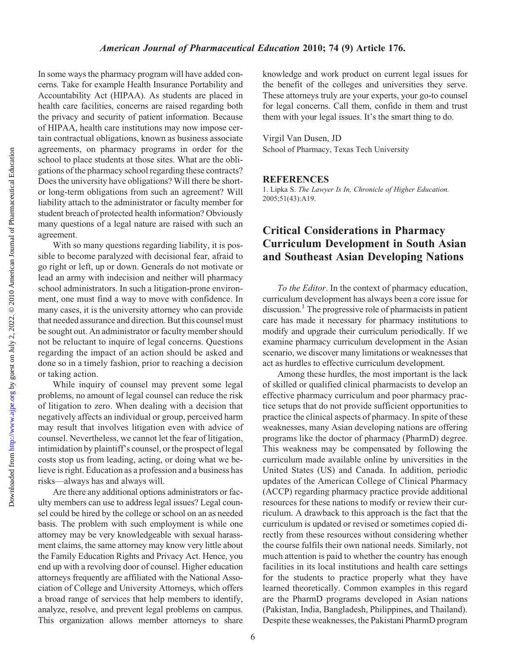In some ways the pharmacy program will have added concerns. Take for example Health Insurance Portability and Accountability Act (HIPAA). As students are placed in health care facilities, concerns are raised regarding both the privacy and security of patient information. Because of HIPAA, health care institutions may now impose certain contractual obligations, known as business associate agreements, on pharmacy programs in order for the school to place students at those sites. What are the obligations of the pharmacy school regarding these contracts? Does the university have obligations? Will there be shortor long-term obligations from such an agreement? Will liability attach to the administrator or faculty member for student breach of protected health information? Obviously many questions of a legal nature are raised with such an agreement.

With so many questions regarding liability, it is possible to become paralyzed with decisional fear, afraid to go right or left, up or down. Generals do not motivate or lead an army with indecision and neither will pharmacy school administrators. In such a litigation-prone environment, one must find a way to move with confidence. In many cases, it is the university attorney who can provide that needed assurance and direction. But this counsel must be sought out. An administrator or faculty member should not be reluctant to inquire of legal concerns. Questions regarding the impact of an action should be asked and done so in a timely fashion, prior to reaching a decision or taking action.

While inquiry of counsel may prevent some legal problems, no amount of legal counsel can reduce the risk of litigation to zero. When dealing with a decision that negatively affects an individual or group, perceived harm may result that involves litigation even with advice of counsel. Nevertheless, we cannot let the fear of litigation, intimidation by plaintiff's counsel, or the prospect of legal costs stop us from leading, acting, or doing what we believe is right. Education as a profession and a business has risks—always has and always will.

Are there any additional options administrators or faculty members can use to address legal issues? Legal counsel could be hired by the college or school on an as needed basis. The problem with such employment is while one attorney may be very knowledgeable with sexual harassment claims, the same attorney may know very little about the Family Education Rights and Privacy Act. Hence, you end up with a revolving door of counsel. Higher education attorneys frequently are affiliated with the National Association of College and University Attorneys, which offers a broad range of services that help members to identify, analyze, resolve, and prevent legal problems on campus. This organization allows member attorneys to share

knowledge and work product on current legal issues for the benefit of the colleges and universities they serve. These attorneys truly are your experts, your go-to counsel for legal concerns. Call them, confide in them and trust them with your legal issues. It's the smart thing to do.

Virgil Van Dusen, JD School of Pharmacy, Texas Tech University

#### **REFERENCES**

1. Lipka S. The Lawyer Is In, Chronicle of Higher Education. 2005;51(43):A19.

# Critical Considerations in Pharmacy Curriculum Development in South Asian and Southeast Asian Developing Nations

To the Editor. In the context of pharmacy education, curriculum development has always been a core issue for discussion.<sup>1</sup> The progressive role of pharmacists in patient care has made it necessary for pharmacy institutions to modify and upgrade their curriculum periodically. If we examine pharmacy curriculum development in the Asian scenario, we discover many limitations or weaknesses that act as hurdles to effective curriculum development.

Among these hurdles, the most important is the lack of skilled or qualified clinical pharmacists to develop an effective pharmacy curriculum and poor pharmacy practice setups that do not provide sufficient opportunities to practice the clinical aspects of pharmacy. In spite of these weaknesses, many Asian developing nations are offering programs like the doctor of pharmacy (PharmD) degree. This weakness may be compensated by following the curriculum made available online by universities in the United States (US) and Canada. In addition, periodic updates of the American College of Clinical Pharmacy (ACCP) regarding pharmacy practice provide additional resources for these nations to modify or review their curriculum. A drawback to this approach is the fact that the curriculum is updated or revised or sometimes copied directly from these resources without considering whether the course fulfils their own national needs. Similarly, not much attention is paid to whether the country has enough facilities in its local institutions and health care settings for the students to practice properly what they have learned theoretically. Common examples in this regard are the PharmD programs developed in Asian nations (Pakistan, India, Bangladesh, Philippines, and Thailand). Despite these weaknesses, the Pakistani PharmD program